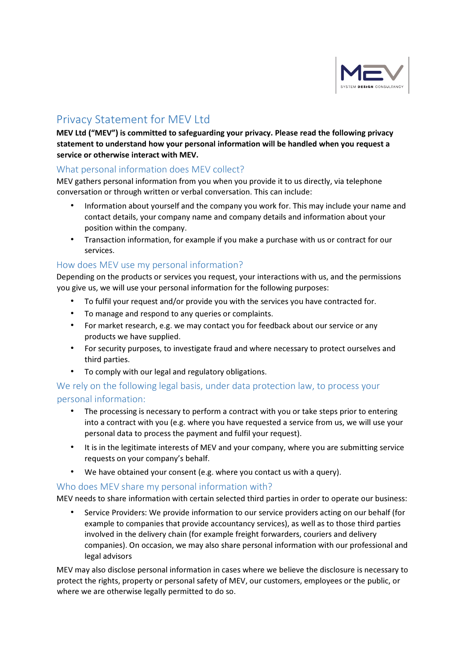

# Privacy Statement for MEV Ltd

MEV Ltd ("MEV") is committed to safeguarding your privacy. Please read the following privacy statement to understand how your personal information will be handled when you request a service or otherwise interact with MEV.

## What personal information does MEV collect?

MEV gathers personal information from you when you provide it to us directly, via telephone conversation or through written or verbal conversation. This can include:

- Information about yourself and the company you work for. This may include your name and contact details, your company name and company details and information about your position within the company.
- Transaction information, for example if you make a purchase with us or contract for our services.

## How does MEV use my personal information?

Depending on the products or services you request, your interactions with us, and the permissions you give us, we will use your personal information for the following purposes:

- To fulfil your request and/or provide you with the services you have contracted for.
- To manage and respond to any queries or complaints.
- For market research, e.g. we may contact you for feedback about our service or any products we have supplied.
- For security purposes, to investigate fraud and where necessary to protect ourselves and third parties.
- To comply with our legal and regulatory obligations.

# We rely on the following legal basis, under data protection law, to process your personal information:

- The processing is necessary to perform a contract with you or take steps prior to entering into a contract with you (e.g. where you have requested a service from us, we will use your personal data to process the payment and fulfil your request).
- It is in the legitimate interests of MEV and your company, where you are submitting service requests on your company's behalf.
- We have obtained your consent (e.g. where you contact us with a query).

## Who does MEV share my personal information with?

MEV needs to share information with certain selected third parties in order to operate our business:

• Service Providers: We provide information to our service providers acting on our behalf (for example to companies that provide accountancy services), as well as to those third parties involved in the delivery chain (for example freight forwarders, couriers and delivery companies). On occasion, we may also share personal information with our professional and legal advisors

MEV may also disclose personal information in cases where we believe the disclosure is necessary to protect the rights, property or personal safety of MEV, our customers, employees or the public, or where we are otherwise legally permitted to do so.